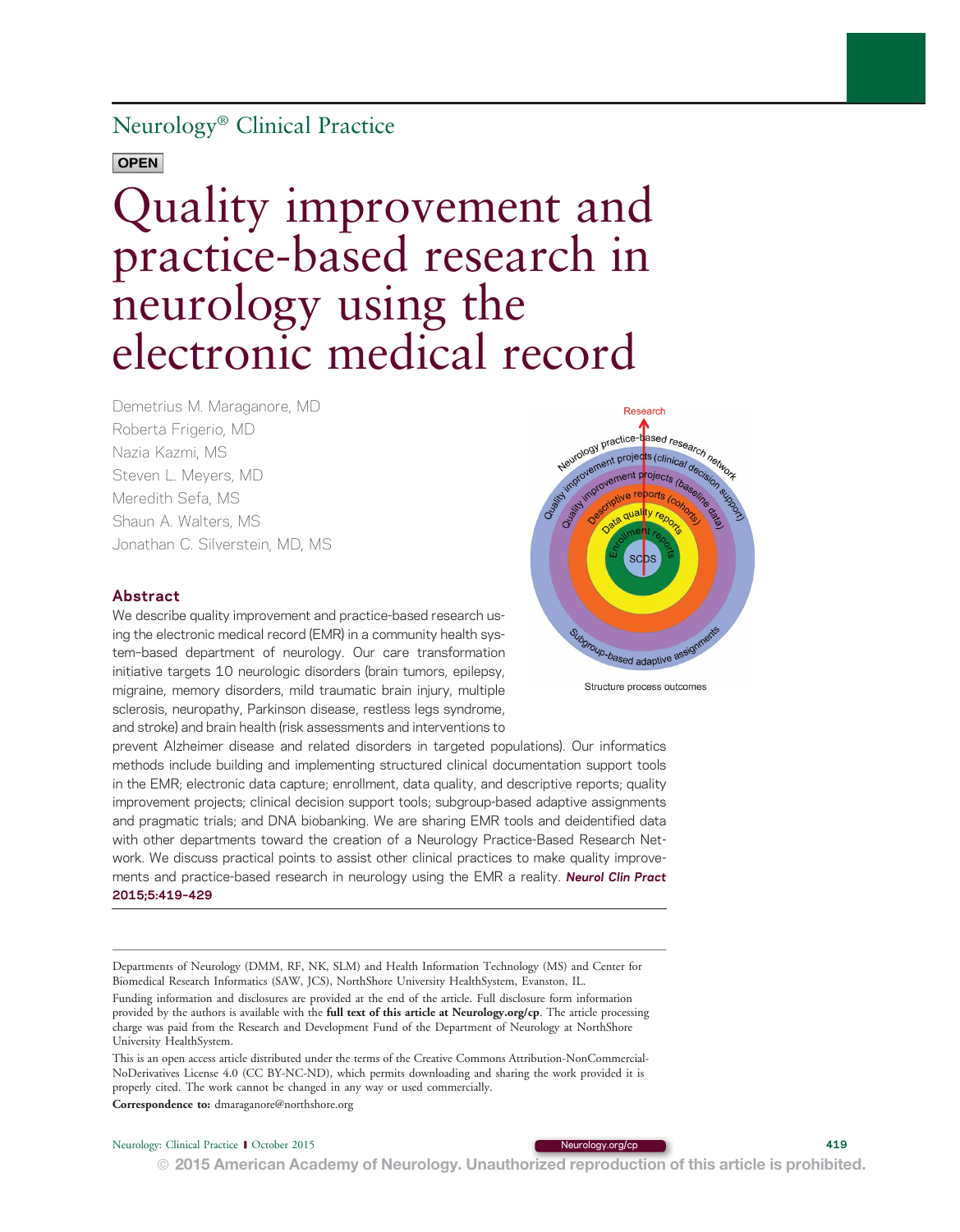# Neurology® Clinical Practice

#### **OPEN**

# Quality improvement and practice-based research in neurology using the electronic medical record

Demetrius M. Maraganore, MD Roberta Frigerio, MD Nazia Kazmi, MS Steven L. Meyers, MD Meredith Sefa, MS Shaun A. Walters, MS Jonathan C. Silverstein, MD, MS

#### Abstract

We describe quality improvement and practice-based research using the electronic medical record (EMR) in a community health system–based department of neurology. Our care transformation initiative targets 10 neurologic disorders (brain tumors, epilepsy, migraine, memory disorders, mild traumatic brain injury, multiple sclerosis, neuropathy, Parkinson disease, restless legs syndrome, and stroke) and brain health (risk assessments and interventions to

prevent Alzheimer disease and related disorders in targeted populations). Our informatics methods include building and implementing structured clinical documentation support tools in the EMR; electronic data capture; enrollment, data quality, and descriptive reports; quality improvement projects; clinical decision support tools; subgroup-based adaptive assignments and pragmatic trials; and DNA biobanking. We are sharing EMR tools and deidentified data with other departments toward the creation of a Neurology Practice-Based Research Network. We discuss practical points to assist other clinical practices to make quality improvements and practice-based research in neurology using the EMR a reality. Neurol Clin Pract 2015;5:419–429

Departments of Neurology (DMM, RF, NK, SLM) and Health Information Technology (MS) and Center for Biomedical Research Informatics (SAW, JCS), NorthShore University HealthSystem, Evanston, IL.

Funding information and disclosures are provided at the end of the article. Full disclosure form information provided by the authors is available with the [full text of this article at Neurology.org/cp](http://cp.neurology.org/lookup/doi/10.1212/CPJ.0000000000000176). The article processing charge was paid from the Research and Development Fund of the Department of Neurology at NorthShore University HealthSystem.

This is an open access article distributed under the terms of the [Creative Commons Attribution-NonCommercial-](http://creativecommons.org/licenses/by-nc-nd/4.0/)[NoDerivatives License 4.0 \(CC BY-NC-ND\),](http://creativecommons.org/licenses/by-nc-nd/4.0/) which permits downloading and sharing the work provided it is properly cited. The work cannot be changed in any way or used commercially.

Correspondence to: dmaraganore@northshore.org



Structure process outcomes

Neurology: Clinical Practice || October 2015 [Neurology.org/cp](http://Neurology.org/cp) Neurology.org/cp 419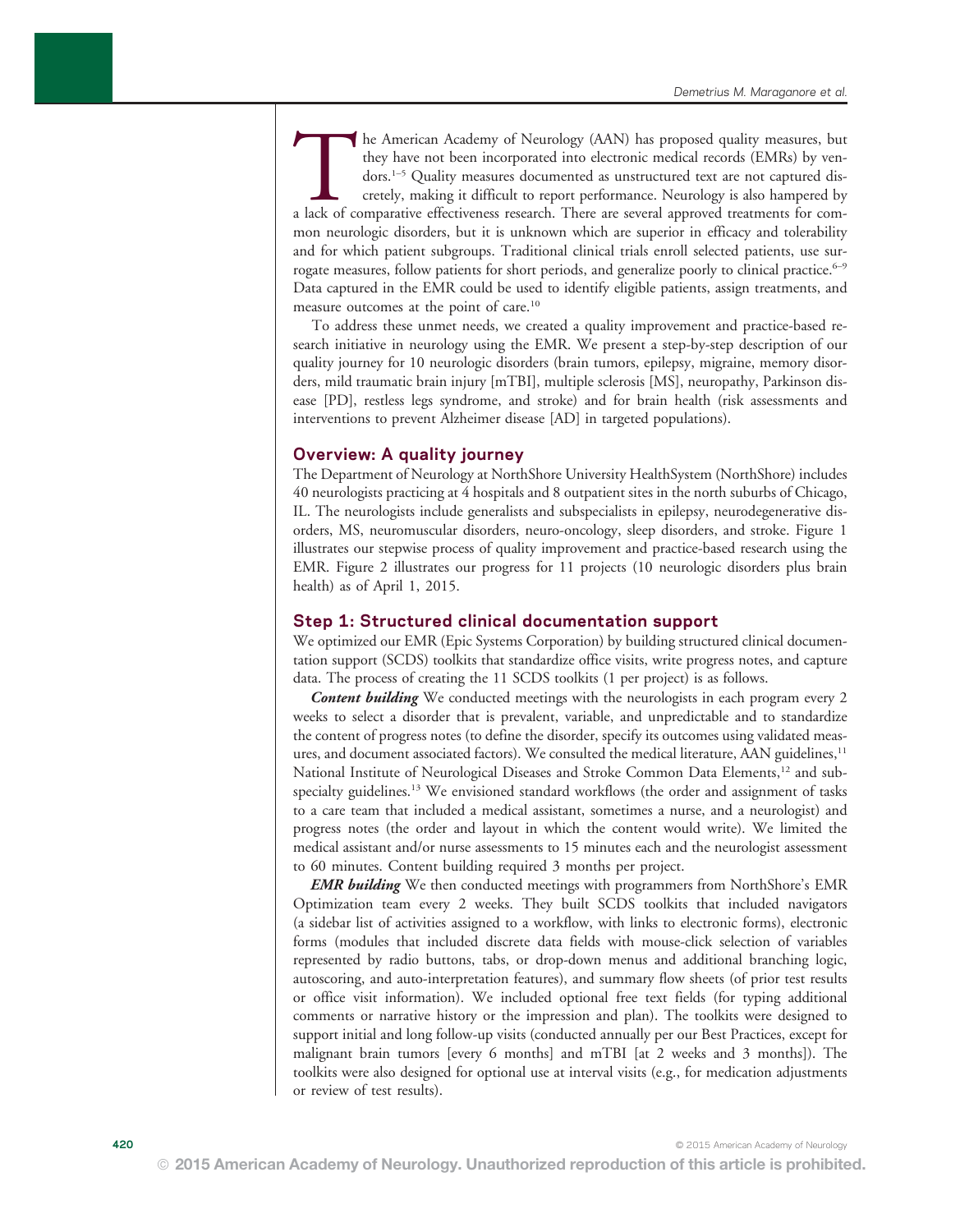The American Academy of Neurology (AAN) has proposed quality measures, but they have not been incorporated into electronic medical records (EMRs) by vendors.1–<sup>5</sup> Quality measures documented as unstructured text are not captured discretely, making it difficult to report performance. Neurology is also hampered by a lack of comparative effectiveness research. There are several approved treatments for common neurologic disorders, but it is unknown which are superior in efficacy and tolerability and for which patient subgroups. Traditional clinical trials enroll selected patients, use surrogate measures, follow patients for short periods, and generalize poorly to clinical practice.<sup>6–9</sup> Data captured in the EMR could be used to identify eligible patients, assign treatments, and measure outcomes at the point of care.<sup>10</sup>

To address these unmet needs, we created a quality improvement and practice-based research initiative in neurology using the EMR. We present a step-by-step description of our quality journey for 10 neurologic disorders (brain tumors, epilepsy, migraine, memory disorders, mild traumatic brain injury [mTBI], multiple sclerosis [MS], neuropathy, Parkinson disease [PD], restless legs syndrome, and stroke) and for brain health (risk assessments and interventions to prevent Alzheimer disease [AD] in targeted populations).

#### Overview: A quality journey

The Department of Neurology at NorthShore University HealthSystem (NorthShore) includes 40 neurologists practicing at 4 hospitals and 8 outpatient sites in the north suburbs of Chicago, IL. The neurologists include generalists and subspecialists in epilepsy, neurodegenerative disorders, MS, neuromuscular disorders, neuro-oncology, sleep disorders, and stroke. Figure 1 illustrates our stepwise process of quality improvement and practice-based research using the EMR. Figure 2 illustrates our progress for 11 projects (10 neurologic disorders plus brain health) as of April 1, 2015.

#### Step 1: Structured clinical documentation support

We optimized our EMR (Epic Systems Corporation) by building structured clinical documentation support (SCDS) toolkits that standardize office visits, write progress notes, and capture data. The process of creating the 11 SCDS toolkits (1 per project) is as follows.

**Content building** We conducted meetings with the neurologists in each program every 2 weeks to select a disorder that is prevalent, variable, and unpredictable and to standardize the content of progress notes (to define the disorder, specify its outcomes using validated measures, and document associated factors). We consulted the medical literature, AAN guidelines, $^{11}$ National Institute of Neurological Diseases and Stroke Common Data Elements,<sup>12</sup> and subspecialty guidelines.<sup>13</sup> We envisioned standard workflows (the order and assignment of tasks to a care team that included a medical assistant, sometimes a nurse, and a neurologist) and progress notes (the order and layout in which the content would write). We limited the medical assistant and/or nurse assessments to 15 minutes each and the neurologist assessment to 60 minutes. Content building required 3 months per project.

**EMR building** We then conducted meetings with programmers from NorthShore's EMR Optimization team every 2 weeks. They built SCDS toolkits that included navigators (a sidebar list of activities assigned to a workflow, with links to electronic forms), electronic forms (modules that included discrete data fields with mouse-click selection of variables represented by radio buttons, tabs, or drop-down menus and additional branching logic, autoscoring, and auto-interpretation features), and summary flow sheets (of prior test results or office visit information). We included optional free text fields (for typing additional comments or narrative history or the impression and plan). The toolkits were designed to support initial and long follow-up visits (conducted annually per our Best Practices, except for malignant brain tumors [every 6 months] and mTBI [at 2 weeks and 3 months]). The toolkits were also designed for optional use at interval visits (e.g., for medication adjustments or review of test results).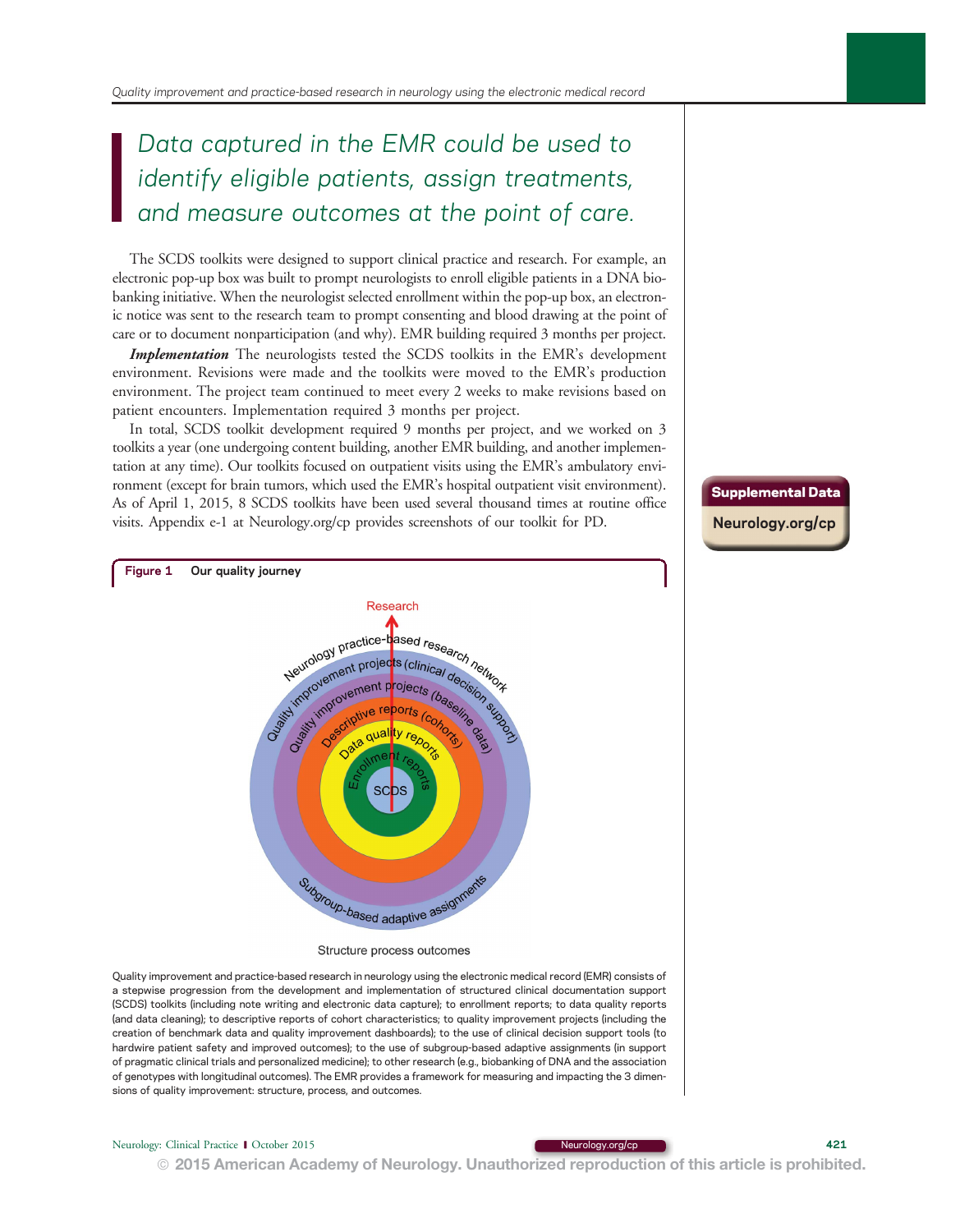# Data captured in the EMR could be used to identify eligible patients, assign treatments, and measure outcomes at the point of care.

The SCDS toolkits were designed to support clinical practice and research. For example, an electronic pop-up box was built to prompt neurologists to enroll eligible patients in a DNA biobanking initiative. When the neurologist selected enrollment within the pop-up box, an electronic notice was sent to the research team to prompt consenting and blood drawing at the point of care or to document nonparticipation (and why). EMR building required 3 months per project.

**Implementation** The neurologists tested the SCDS toolkits in the EMR's development environment. Revisions were made and the toolkits were moved to the EMR's production environment. The project team continued to meet every 2 weeks to make revisions based on patient encounters. Implementation required 3 months per project.

In total, SCDS toolkit development required 9 months per project, and we worked on 3 toolkits a year (one undergoing content building, another EMR building, and another implementation at any time). Our toolkits focused on outpatient visits using the EMR's ambulatory environment (except for brain tumors, which used the EMR's hospital outpatient visit environment). As of April 1, 2015, 8 SCDS toolkits have been used several thousand times at routine office visits. Appendix e-1 at [Neurology.org/cp](http://cp.neurology.org/lookup/doi/10.1212/CPJ.0000000000000176) provides screenshots of our toolkit for PD.



Structure process outcomes

Quality improvement and practice-based research in neurology using the electronic medical record (EMR) consists of a stepwise progression from the development and implementation of structured clinical documentation support (SCDS) toolkits (including note writing and electronic data capture); to enrollment reports; to data quality reports (and data cleaning); to descriptive reports of cohort characteristics; to quality improvement projects (including the creation of benchmark data and quality improvement dashboards); to the use of clinical decision support tools (to hardwire patient safety and improved outcomes); to the use of subgroup-based adaptive assignments (in support of pragmatic clinical trials and personalized medicine); to other research (e.g., biobanking of DNA and the association of genotypes with longitudinal outcomes). The EMR provides a framework for measuring and impacting the 3 dimensions of quality improvement: structure, process, and outcomes.

#### **Supplemental Data**

[Neurology.org/cp](http://cp.neurology.org/lookup/doi/10.1212/CPJ.0000000000000176)

#### Neurology: Clinical Practice || October 2015 [Neurology.org/cp](http://Neurology.org/cp) Neurology.org/cp 421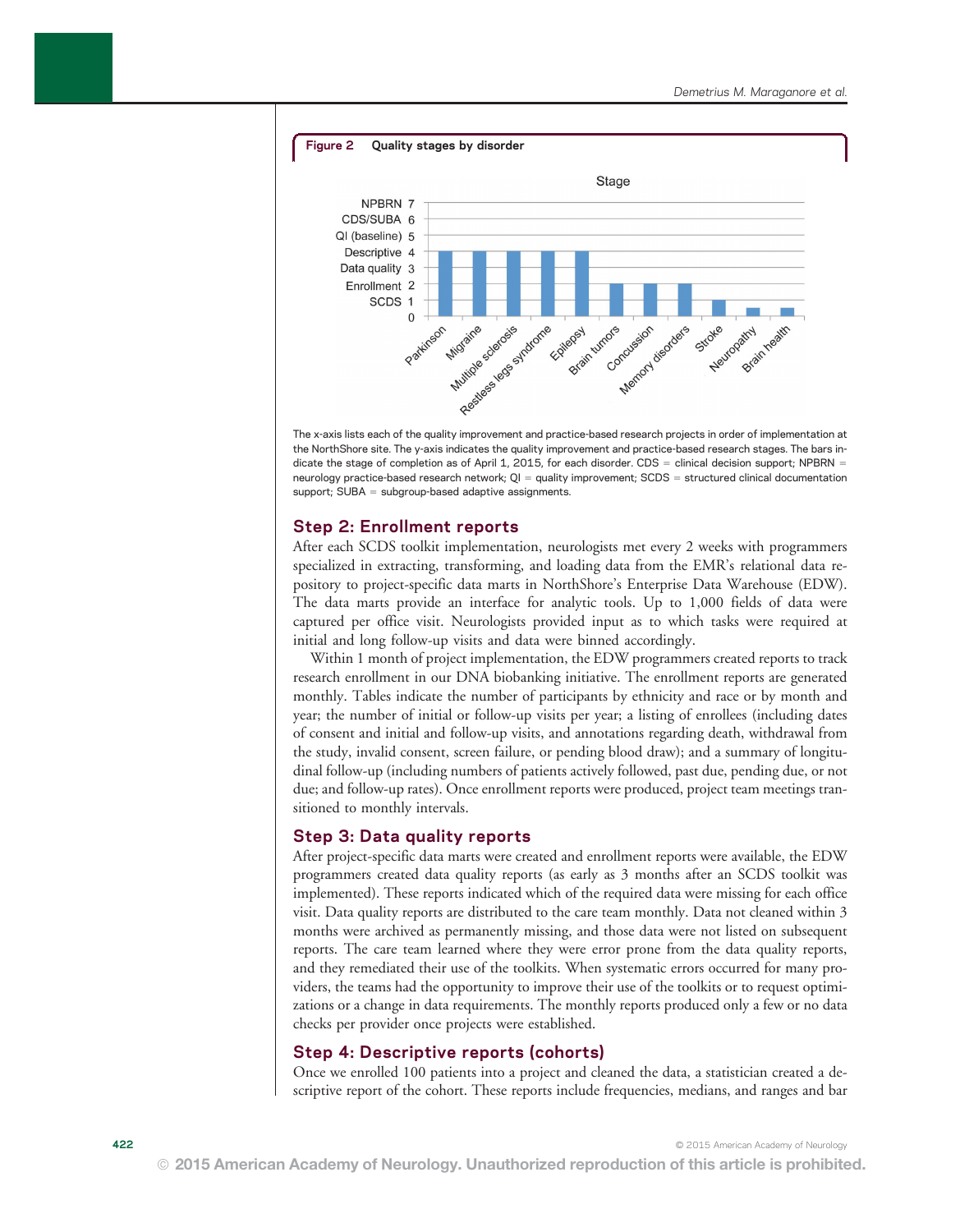

The x-axis lists each of the quality improvement and practice-based research projects in order of implementation at the NorthShore site. The y-axis indicates the quality improvement and practice-based research stages. The bars indicate the stage of completion as of April 1, 2015, for each disorder.  $CDS =$  clinical decision support; NPBRN = neurology practice-based research network; QI = quality improvement; SCDS = structured clinical documentation support;  $SUBA = subgroup-based adaptive assignments.$ 

#### Step 2: Enrollment reports

After each SCDS toolkit implementation, neurologists met every 2 weeks with programmers specialized in extracting, transforming, and loading data from the EMR's relational data repository to project-specific data marts in NorthShore's Enterprise Data Warehouse (EDW). The data marts provide an interface for analytic tools. Up to 1,000 fields of data were captured per office visit. Neurologists provided input as to which tasks were required at initial and long follow-up visits and data were binned accordingly.

Within 1 month of project implementation, the EDW programmers created reports to track research enrollment in our DNA biobanking initiative. The enrollment reports are generated monthly. Tables indicate the number of participants by ethnicity and race or by month and year; the number of initial or follow-up visits per year; a listing of enrollees (including dates of consent and initial and follow-up visits, and annotations regarding death, withdrawal from the study, invalid consent, screen failure, or pending blood draw); and a summary of longitudinal follow-up (including numbers of patients actively followed, past due, pending due, or not due; and follow-up rates). Once enrollment reports were produced, project team meetings transitioned to monthly intervals.

#### Step 3: Data quality reports

After project-specific data marts were created and enrollment reports were available, the EDW programmers created data quality reports (as early as 3 months after an SCDS toolkit was implemented). These reports indicated which of the required data were missing for each office visit. Data quality reports are distributed to the care team monthly. Data not cleaned within 3 months were archived as permanently missing, and those data were not listed on subsequent reports. The care team learned where they were error prone from the data quality reports, and they remediated their use of the toolkits. When systematic errors occurred for many providers, the teams had the opportunity to improve their use of the toolkits or to request optimizations or a change in data requirements. The monthly reports produced only a few or no data checks per provider once projects were established.

#### Step 4: Descriptive reports (cohorts)

Once we enrolled 100 patients into a project and cleaned the data, a statistician created a descriptive report of the cohort. These reports include frequencies, medians, and ranges and bar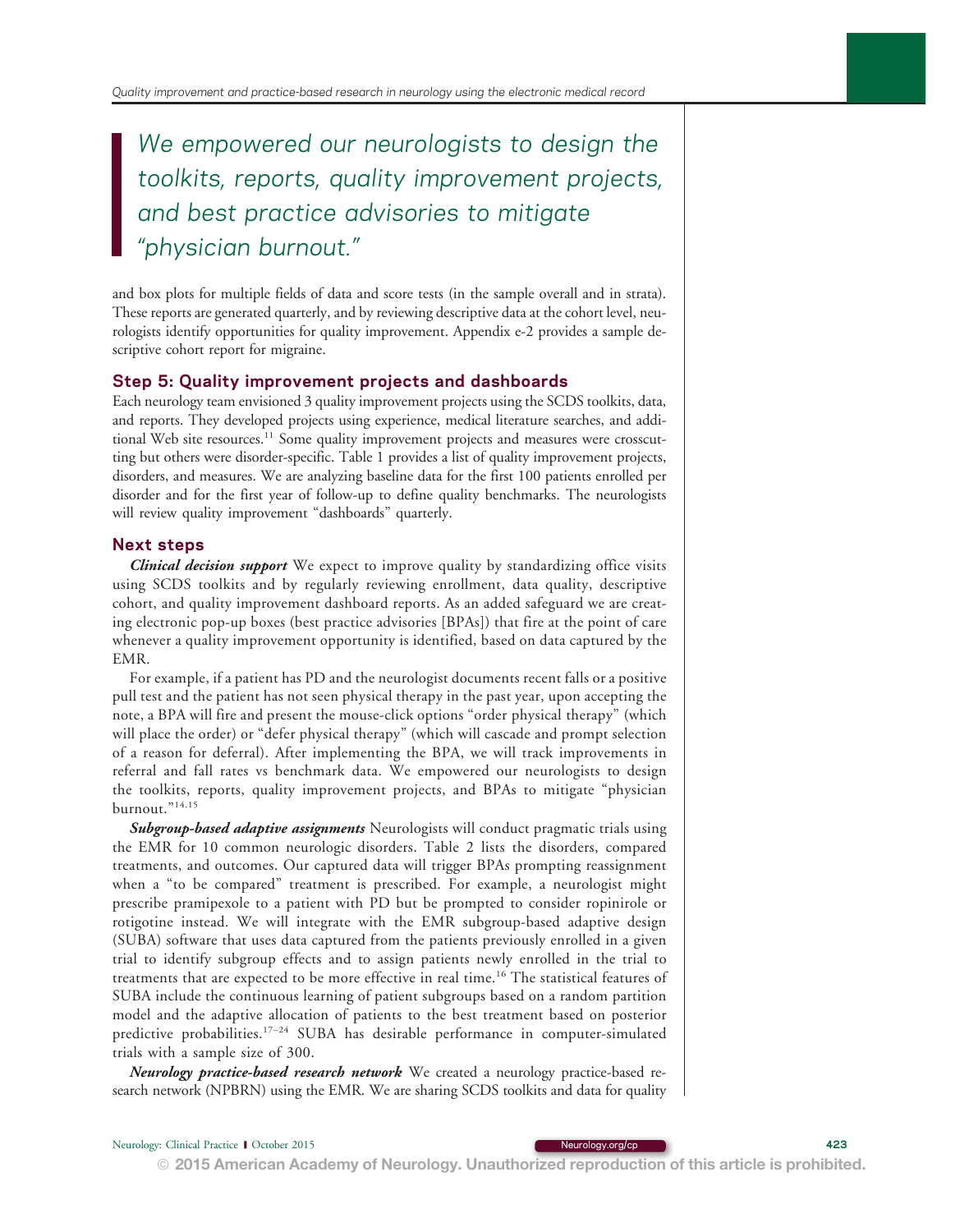# We empowered our neurologists to design the toolkits, reports, quality improvement projects, and best practice advisories to mitigate "physician burnout."

and box plots for multiple fields of data and score tests (in the sample overall and in strata). These reports are generated quarterly, and by reviewing descriptive data at the cohort level, neurologists identify opportunities for quality improvement. Appendix e-2 provides a sample descriptive cohort report for migraine.

#### Step 5: Quality improvement projects and dashboards

Each neurology team envisioned 3 quality improvement projects using the SCDS toolkits, data, and reports. They developed projects using experience, medical literature searches, and additional Web site resources.<sup>11</sup> Some quality improvement projects and measures were crosscutting but others were disorder-specific. Table 1 provides a list of quality improvement projects, disorders, and measures. We are analyzing baseline data for the first 100 patients enrolled per disorder and for the first year of follow-up to define quality benchmarks. The neurologists will review quality improvement "dashboards" quarterly.

#### Next steps

**Clinical decision support** We expect to improve quality by standardizing office visits using SCDS toolkits and by regularly reviewing enrollment, data quality, descriptive cohort, and quality improvement dashboard reports. As an added safeguard we are creating electronic pop-up boxes (best practice advisories [BPAs]) that fire at the point of care whenever a quality improvement opportunity is identified, based on data captured by the EMR.

For example, if a patient has PD and the neurologist documents recent falls or a positive pull test and the patient has not seen physical therapy in the past year, upon accepting the note, a BPA will fire and present the mouse-click options "order physical therapy" (which will place the order) or "defer physical therapy" (which will cascade and prompt selection of a reason for deferral). After implementing the BPA, we will track improvements in referral and fall rates vs benchmark data. We empowered our neurologists to design the toolkits, reports, quality improvement projects, and BPAs to mitigate "physician burnout."14,15

**Subgroup-based adaptive assignments** Neurologists will conduct pragmatic trials using the EMR for 10 common neurologic disorders. Table 2 lists the disorders, compared treatments, and outcomes. Our captured data will trigger BPAs prompting reassignment when a "to be compared" treatment is prescribed. For example, a neurologist might prescribe pramipexole to a patient with PD but be prompted to consider ropinirole or rotigotine instead. We will integrate with the EMR subgroup-based adaptive design (SUBA) software that uses data captured from the patients previously enrolled in a given trial to identify subgroup effects and to assign patients newly enrolled in the trial to treatments that are expected to be more effective in real time.16 The statistical features of SUBA include the continuous learning of patient subgroups based on a random partition model and the adaptive allocation of patients to the best treatment based on posterior predictive probabilities.17–<sup>24</sup> SUBA has desirable performance in computer-simulated trials with a sample size of 300.

Neurology practice-based research network We created a neurology practice-based research network (NPBRN) using the EMR. We are sharing SCDS toolkits and data for quality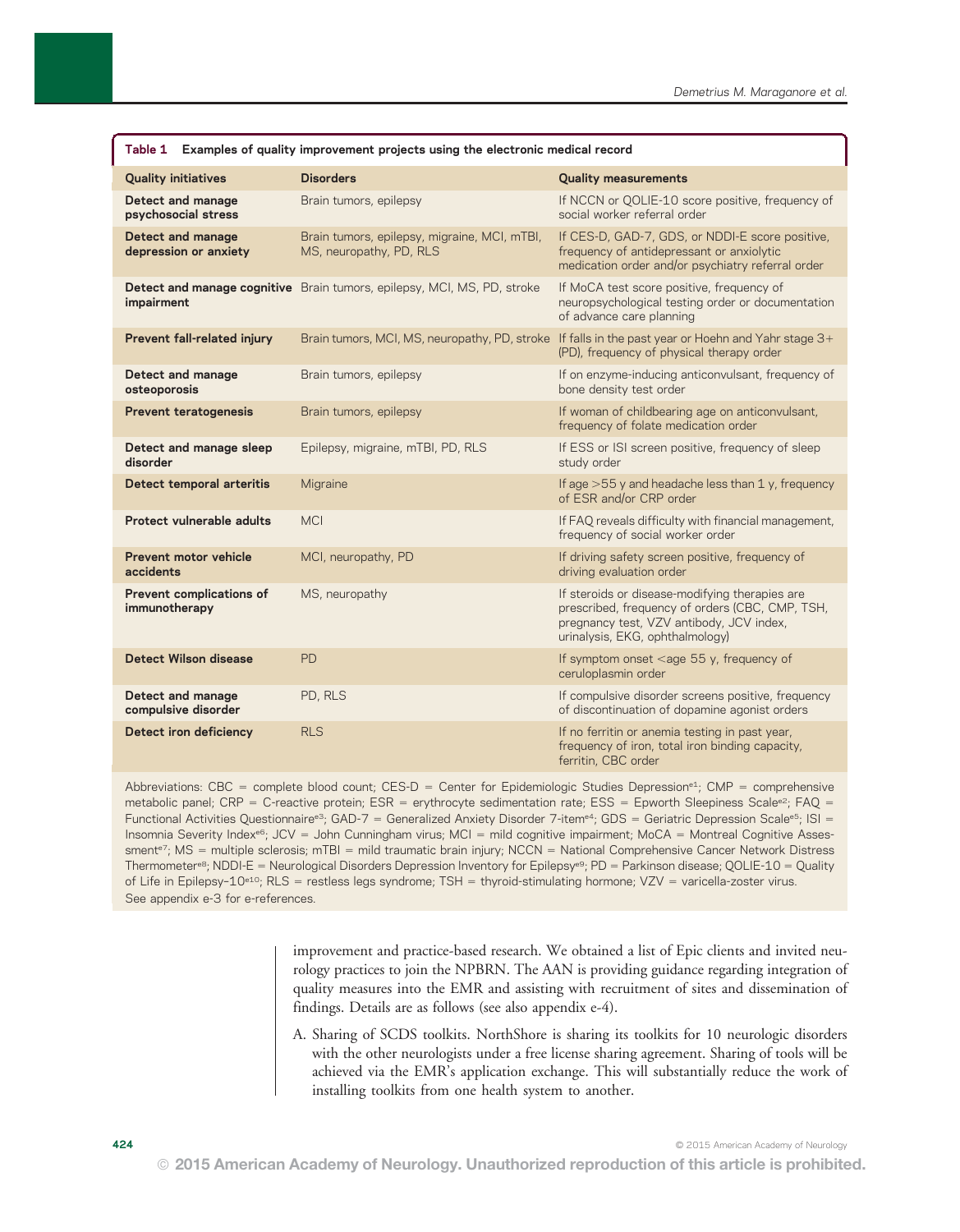| <b>Quality initiatives</b>                        | <b>Disorders</b>                                                        | <b>Quality measurements</b>                                                                                                                                                      |
|---------------------------------------------------|-------------------------------------------------------------------------|----------------------------------------------------------------------------------------------------------------------------------------------------------------------------------|
| Detect and manage<br>psychosocial stress          | Brain tumors, epilepsy                                                  | If NCCN or QOLIE-10 score positive, frequency of<br>social worker referral order                                                                                                 |
| <b>Detect and manage</b><br>depression or anxiety | Brain tumors, epilepsy, migraine, MCI, mTBI,<br>MS, neuropathy, PD, RLS | If CES-D, GAD-7, GDS, or NDDI-E score positive,<br>frequency of antidepressant or anxiolytic<br>medication order and/or psychiatry referral order                                |
| impairment                                        | Detect and manage cognitive Brain tumors, epilepsy, MCI, MS, PD, stroke | If MoCA test score positive, frequency of<br>neuropsychological testing order or documentation<br>of advance care planning                                                       |
| Prevent fall-related injury                       |                                                                         | Brain tumors, MCI, MS, neuropathy, PD, stroke If falls in the past year or Hoehn and Yahr stage 3+<br>(PD), frequency of physical therapy order                                  |
| Detect and manage<br>osteoporosis                 | Brain tumors, epilepsy                                                  | If on enzyme-inducing anticonvulsant, frequency of<br>bone density test order                                                                                                    |
| <b>Prevent teratogenesis</b>                      | Brain tumors, epilepsy                                                  | If woman of childbearing age on anticonvulsant,<br>frequency of folate medication order                                                                                          |
| Detect and manage sleep<br>disorder               | Epilepsy, migraine, mTBI, PD, RLS                                       | If ESS or ISI screen positive, frequency of sleep<br>study order                                                                                                                 |
| <b>Detect temporal arteritis</b>                  | Migraine                                                                | If age $>55$ y and headache less than 1 y, frequency<br>of ESR and/or CRP order                                                                                                  |
| Protect vulnerable adults                         | <b>MCI</b>                                                              | If FAQ reveals difficulty with financial management,<br>frequency of social worker order                                                                                         |
| <b>Prevent motor vehicle</b><br>accidents         | MCI, neuropathy, PD                                                     | If driving safety screen positive, frequency of<br>driving evaluation order                                                                                                      |
| <b>Prevent complications of</b><br>immunotherapy  | MS, neuropathy                                                          | If steroids or disease-modifying therapies are<br>prescribed, frequency of orders (CBC, CMP, TSH,<br>pregnancy test, VZV antibody, JCV index,<br>urinalysis, EKG, ophthalmology) |
| <b>Detect Wilson disease</b>                      | <b>PD</b>                                                               | If symptom onset <age 55="" frequency="" of<br="" y,="">ceruloplasmin order</age>                                                                                                |
| Detect and manage<br>compulsive disorder          | PD, RLS                                                                 | If compulsive disorder screens positive, frequency<br>of discontinuation of dopamine agonist orders                                                                              |
| <b>Detect iron deficiency</b>                     | <b>RLS</b>                                                              | If no ferritin or anemia testing in past year,<br>frequency of iron, total iron binding capacity,<br>ferritin, CBC order                                                         |

#### Table 1 Examples of quality improvement projects using the electronic medical record

Abbreviations: CBC = complete blood count; CES-D = Center for Epidemiologic Studies Depression<sup>e1</sup>; CMP = comprehensive metabolic panel; CRP = C-reactive protein; ESR = erythrocyte sedimentation rate; ESS = Epworth Sleepiness Scale<sup>e2</sup>; FAQ = Functional Activities Questionnaire<sup>83</sup>; GAD-7 = Generalized Anxiety Disorder 7-item<sup>e4</sup>; GDS = Geriatric Depression Scale<sup>65</sup>; ISI = Insomnia Severity Index<sup>e6</sup>; JCV = John Cunningham virus; MCI = mild cognitive impairment; MoCA = Montreal Cognitive Assessment<sup>e7</sup>; MS = multiple sclerosis; mTBI = mild traumatic brain injury; NCCN = National Comprehensive Cancer Network Distress Thermometer<sup>e8</sup>; NDDI-E = Neurological Disorders Depression Inventory for Epilepsy<sup>e9</sup>; PD = Parkinson disease; QOLIE-10 = Quality of Life in Epilepsy-10<sup>e10</sup>; RLS = restless legs syndrome; TSH = thyroid-stimulating hormone; VZV = varicella-zoster virus. See appendix e-3 for e-references.

> improvement and practice-based research. We obtained a list of Epic clients and invited neurology practices to join the NPBRN. The AAN is providing guidance regarding integration of quality measures into the EMR and assisting with recruitment of sites and dissemination of findings. Details are as follows (see also appendix e-4).

> A. Sharing of SCDS toolkits. NorthShore is sharing its toolkits for 10 neurologic disorders with the other neurologists under a free license sharing agreement. Sharing of tools will be achieved via the EMR's application exchange. This will substantially reduce the work of installing toolkits from one health system to another.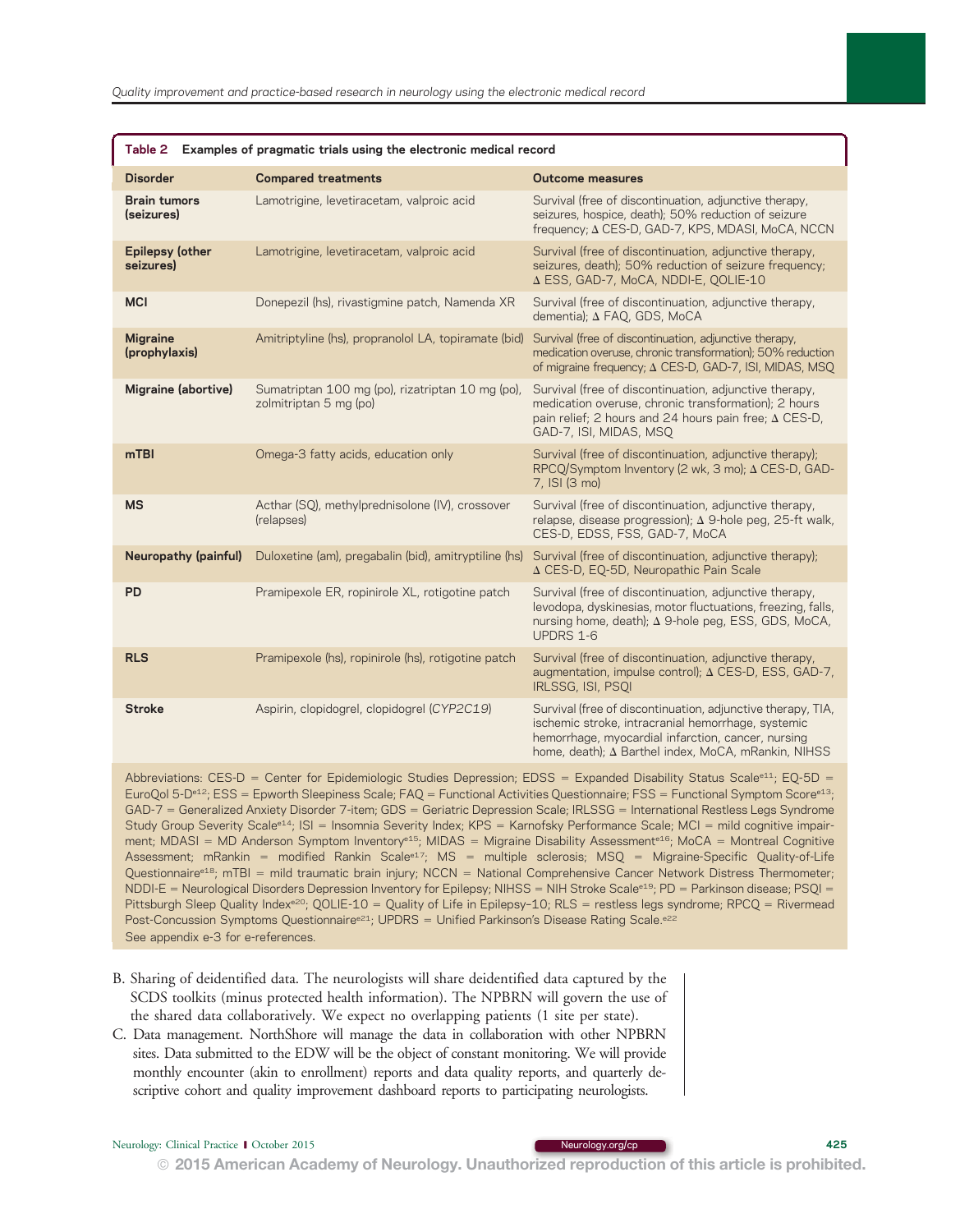| Table 2<br>Examples of pragmatic trials using the electronic medical record |                                                                            |                                                                                                                                                                                                                                |  |  |
|-----------------------------------------------------------------------------|----------------------------------------------------------------------------|--------------------------------------------------------------------------------------------------------------------------------------------------------------------------------------------------------------------------------|--|--|
| <b>Disorder</b>                                                             | <b>Compared treatments</b>                                                 | <b>Outcome measures</b>                                                                                                                                                                                                        |  |  |
| <b>Brain tumors</b><br>(seizures)                                           | Lamotrigine, levetiracetam, valproic acid                                  | Survival (free of discontinuation, adjunctive therapy,<br>seizures, hospice, death); 50% reduction of seizure<br>frequency; $\Delta$ CES-D, GAD-7, KPS, MDASI, MoCA, NCCN                                                      |  |  |
| <b>Epilepsy (other</b><br>seizures)                                         | Lamotrigine, levetiracetam, valproic acid                                  | Survival (free of discontinuation, adjunctive therapy,<br>seizures, death); 50% reduction of seizure frequency;<br>Δ ESS, GAD-7, MoCA, NDDI-E, QOLIE-10                                                                        |  |  |
| <b>MCI</b>                                                                  | Donepezil (hs), rivastigmine patch, Namenda XR                             | Survival (free of discontinuation, adjunctive therapy,<br>dementia); $\Delta$ FAQ, GDS, MoCA                                                                                                                                   |  |  |
| <b>Migraine</b><br>(prophylaxis)                                            | Amitriptyline (hs), propranolol LA, topiramate (bid)                       | Survival (free of discontinuation, adjunctive therapy,<br>medication overuse, chronic transformation); 50% reduction<br>of migraine frequency; $\Delta$ CES-D, GAD-7, ISI, MIDAS, MSQ                                          |  |  |
| Migraine (abortive)                                                         | Sumatriptan 100 mg (po), rizatriptan 10 mg (po),<br>zolmitriptan 5 mg (po) | Survival (free of discontinuation, adjunctive therapy,<br>medication overuse, chronic transformation); 2 hours<br>pain relief; 2 hours and 24 hours pain free; $\triangle$ CES-D,<br>GAD-7, ISI, MIDAS, MSQ                    |  |  |
| <b>mTBI</b>                                                                 | Omega-3 fatty acids, education only                                        | Survival (free of discontinuation, adjunctive therapy);<br>RPCQ/Symptom Inventory (2 wk, 3 mo); $\triangle$ CES-D, GAD-<br>7, ISI (3 mo)                                                                                       |  |  |
| <b>MS</b>                                                                   | Acthar (SQ), methylprednisolone (IV), crossover<br>(relapses)              | Survival (free of discontinuation, adjunctive therapy,<br>relapse, disease progression); ∆ 9-hole peg, 25-ft walk,<br>CES-D, EDSS, FSS, GAD-7, MoCA                                                                            |  |  |
| <b>Neuropathy (painful)</b>                                                 | Duloxetine (am), pregabalin (bid), amitryptiline (hs)                      | Survival (free of discontinuation, adjunctive therapy);<br>∆ CES-D, EQ-5D, Neuropathic Pain Scale                                                                                                                              |  |  |
| <b>PD</b>                                                                   | Pramipexole ER, ropinirole XL, rotigotine patch                            | Survival (free of discontinuation, adjunctive therapy,<br>levodopa, dyskinesias, motor fluctuations, freezing, falls,<br>nursing home, death); $\triangle$ 9-hole peg, ESS, GDS, MoCA,<br><b>UPDRS 1-6</b>                     |  |  |
| <b>RLS</b>                                                                  | Pramipexole (hs), ropinirole (hs), rotigotine patch                        | Survival (free of discontinuation, adjunctive therapy,<br>augmentation, impulse control); $\triangle$ CES-D, ESS, GAD-7,<br><b>IRLSSG, ISI, PSOI</b>                                                                           |  |  |
| <b>Stroke</b>                                                               | Aspirin, clopidogrel, clopidogrel (CYP2C19)                                | Survival (free of discontinuation, adjunctive therapy, TIA,<br>ischemic stroke, intracranial hemorrhage, systemic<br>hemorrhage, myocardial infarction, cancer, nursing<br>home, death); A Barthel index, MoCA, mRankin, NIHSS |  |  |

Abbreviations: CES-D = Center for Epidemiologic Studies Depression; EDSS = Expanded Disability Status Scale<sup>e11</sup>; EQ-5D = EuroQol 5-D<sup>e12</sup>; ESS = Epworth Sleepiness Scale; FAQ = Functional Activities Questionnaire; FSS = Functional Symptom Score<sup>e13</sup>; GAD-7 = Generalized Anxiety Disorder 7-item; GDS = Geriatric Depression Scale; IRLSSG = International Restless Legs Syndrome Study Group Severity Scale<sup>e14</sup>; ISI = Insomnia Severity Index; KPS = Karnofsky Performance Scale; MCI = mild cognitive impairment; MDASI = MD Anderson Symptom Inventory<sup>e15</sup>; MIDAS = Migraine Disability Assessment<sup>e16</sup>; MoCA = Montreal Cognitive Assessment; mRankin = modified Rankin Scale<sup>e17</sup>; MS = multiple sclerosis; MSQ = Migraine-Specific Quality-of-Life Questionnaire<sup>e18</sup>; mTBI = mild traumatic brain injury; NCCN = National Comprehensive Cancer Network Distress Thermometer; NDDI-E = Neurological Disorders Depression Inventory for Epilepsy; NIHSS = NIH Stroke Scale<sup>e19</sup>; PD = Parkinson disease; PSQI = Pittsburgh Sleep Quality Index<sup>e20</sup>; QOLIE-10 = Quality of Life in Epilepsy-10; RLS = restless legs syndrome; RPCQ = Rivermead Post-Concussion Symptoms Questionnaire<sup>e21</sup>; UPDRS = Unified Parkinson's Disease Rating Scale.<sup>e22</sup> See appendix e-3 for e-references.

- B. Sharing of deidentified data. The neurologists will share deidentified data captured by the SCDS toolkits (minus protected health information). The NPBRN will govern the use of the shared data collaboratively. We expect no overlapping patients (1 site per state).
- C. Data management. NorthShore will manage the data in collaboration with other NPBRN sites. Data submitted to the EDW will be the object of constant monitoring. We will provide monthly encounter (akin to enrollment) reports and data quality reports, and quarterly descriptive cohort and quality improvement dashboard reports to participating neurologists.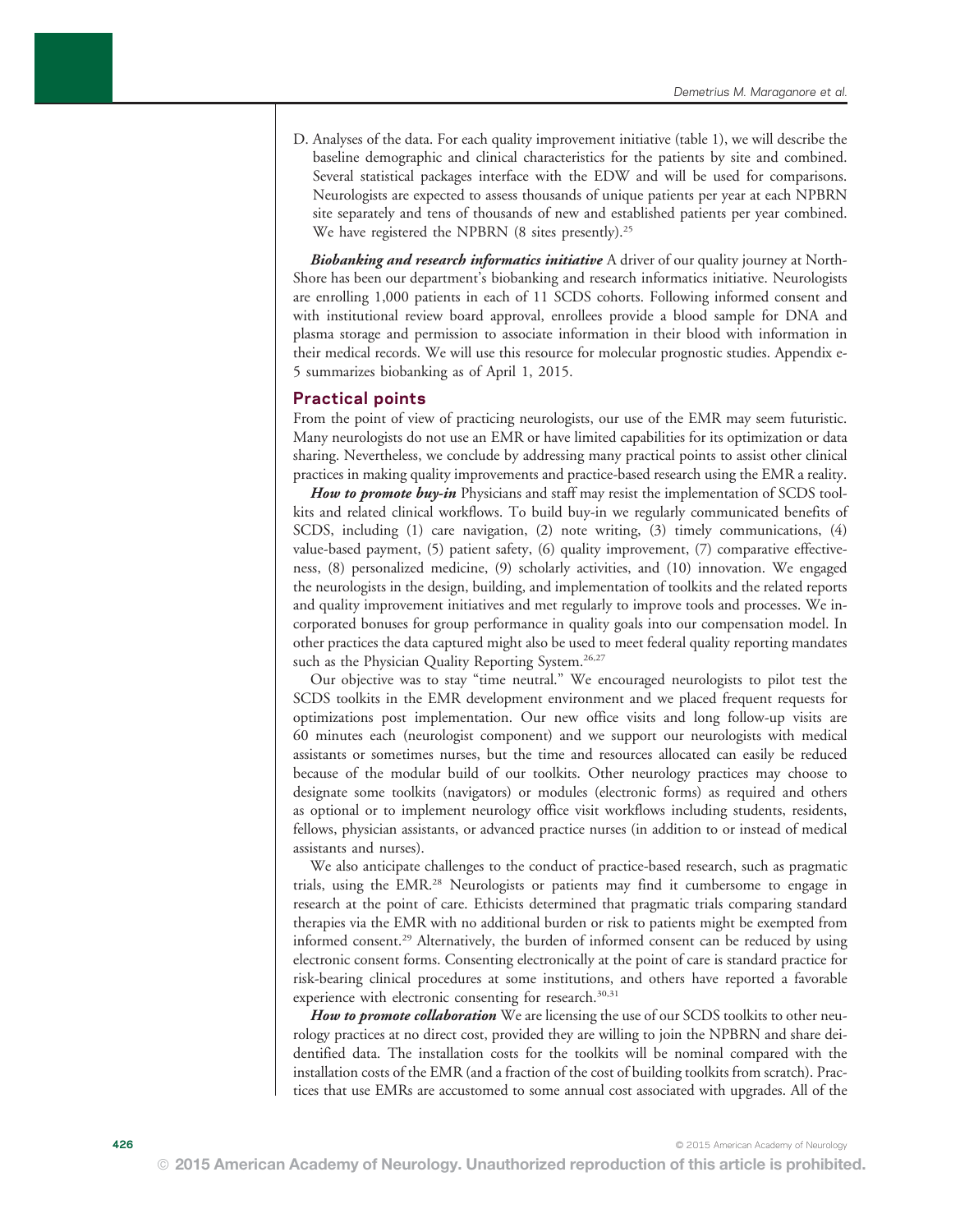D. Analyses of the data. For each quality improvement initiative (table 1), we will describe the baseline demographic and clinical characteristics for the patients by site and combined. Several statistical packages interface with the EDW and will be used for comparisons. Neurologists are expected to assess thousands of unique patients per year at each NPBRN site separately and tens of thousands of new and established patients per year combined. We have registered the NPBRN (8 sites presently).<sup>25</sup>

Biobanking and research informatics initiative A driver of our quality journey at North-Shore has been our department's biobanking and research informatics initiative. Neurologists are enrolling 1,000 patients in each of 11 SCDS cohorts. Following informed consent and with institutional review board approval, enrollees provide a blood sample for DNA and plasma storage and permission to associate information in their blood with information in their medical records. We will use this resource for molecular prognostic studies. Appendix e-5 summarizes biobanking as of April 1, 2015.

#### Practical points

From the point of view of practicing neurologists, our use of the EMR may seem futuristic. Many neurologists do not use an EMR or have limited capabilities for its optimization or data sharing. Nevertheless, we conclude by addressing many practical points to assist other clinical practices in making quality improvements and practice-based research using the EMR a reality.

How to promote buy-in Physicians and staff may resist the implementation of SCDS toolkits and related clinical workflows. To build buy-in we regularly communicated benefits of SCDS, including (1) care navigation, (2) note writing, (3) timely communications, (4) value-based payment, (5) patient safety, (6) quality improvement, (7) comparative effectiveness, (8) personalized medicine, (9) scholarly activities, and (10) innovation. We engaged the neurologists in the design, building, and implementation of toolkits and the related reports and quality improvement initiatives and met regularly to improve tools and processes. We incorporated bonuses for group performance in quality goals into our compensation model. In other practices the data captured might also be used to meet federal quality reporting mandates such as the Physician Quality Reporting System.<sup>26,27</sup>

Our objective was to stay "time neutral." We encouraged neurologists to pilot test the SCDS toolkits in the EMR development environment and we placed frequent requests for optimizations post implementation. Our new office visits and long follow-up visits are 60 minutes each (neurologist component) and we support our neurologists with medical assistants or sometimes nurses, but the time and resources allocated can easily be reduced because of the modular build of our toolkits. Other neurology practices may choose to designate some toolkits (navigators) or modules (electronic forms) as required and others as optional or to implement neurology office visit workflows including students, residents, fellows, physician assistants, or advanced practice nurses (in addition to or instead of medical assistants and nurses).

We also anticipate challenges to the conduct of practice-based research, such as pragmatic trials, using the EMR.28 Neurologists or patients may find it cumbersome to engage in research at the point of care. Ethicists determined that pragmatic trials comparing standard therapies via the EMR with no additional burden or risk to patients might be exempted from informed consent.<sup>29</sup> Alternatively, the burden of informed consent can be reduced by using electronic consent forms. Consenting electronically at the point of care is standard practice for risk-bearing clinical procedures at some institutions, and others have reported a favorable experience with electronic consenting for research.<sup>30,31</sup>

How to promote collaboration We are licensing the use of our SCDS toolkits to other neurology practices at no direct cost, provided they are willing to join the NPBRN and share deidentified data. The installation costs for the toolkits will be nominal compared with the installation costs of the EMR (and a fraction of the cost of building toolkits from scratch). Practices that use EMRs are accustomed to some annual cost associated with upgrades. All of the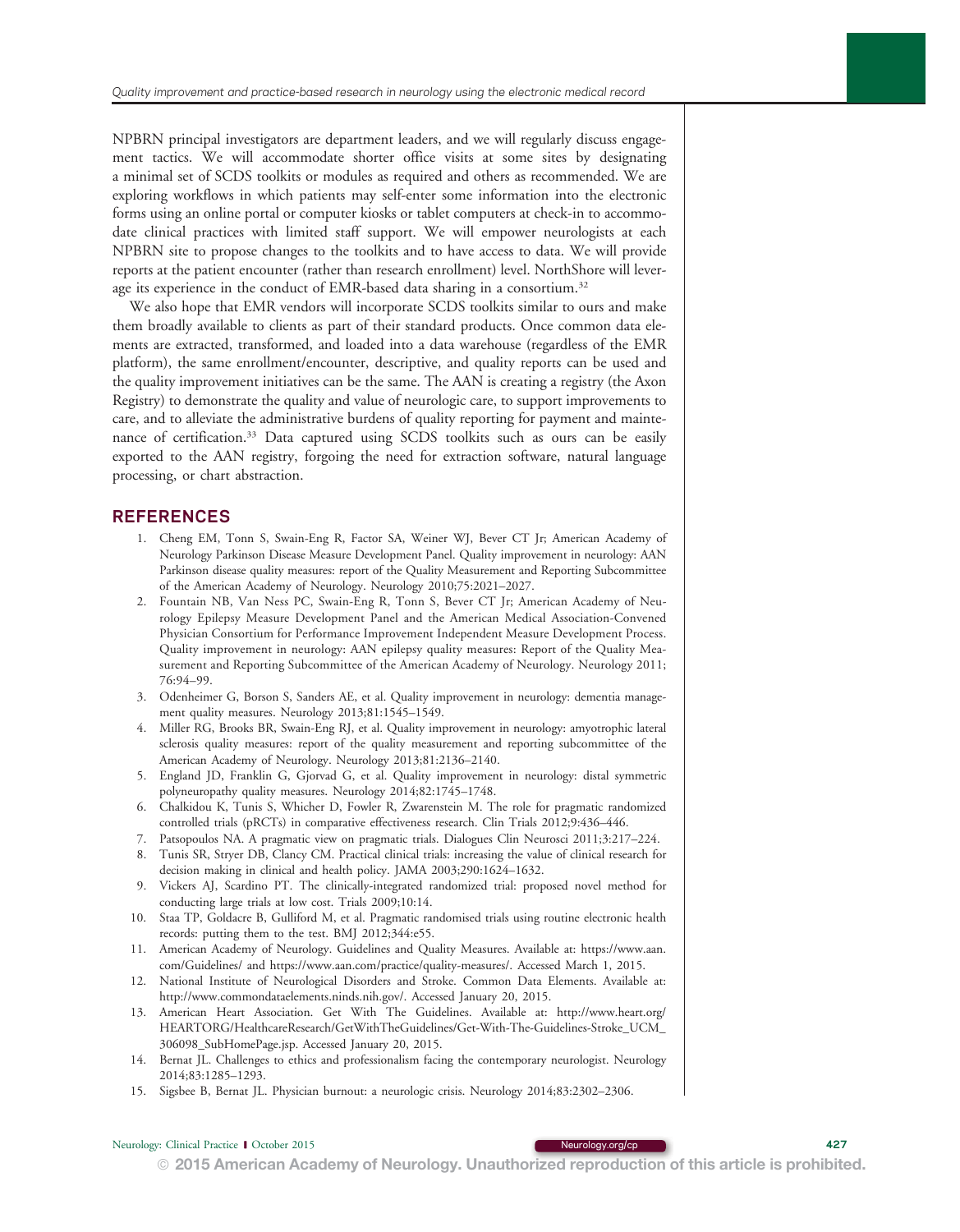NPBRN principal investigators are department leaders, and we will regularly discuss engagement tactics. We will accommodate shorter office visits at some sites by designating a minimal set of SCDS toolkits or modules as required and others as recommended. We are exploring workflows in which patients may self-enter some information into the electronic forms using an online portal or computer kiosks or tablet computers at check-in to accommodate clinical practices with limited staff support. We will empower neurologists at each NPBRN site to propose changes to the toolkits and to have access to data. We will provide reports at the patient encounter (rather than research enrollment) level. NorthShore will leverage its experience in the conduct of EMR-based data sharing in a consortium.<sup>32</sup>

We also hope that EMR vendors will incorporate SCDS toolkits similar to ours and make them broadly available to clients as part of their standard products. Once common data elements are extracted, transformed, and loaded into a data warehouse (regardless of the EMR platform), the same enrollment/encounter, descriptive, and quality reports can be used and the quality improvement initiatives can be the same. The AAN is creating a registry (the Axon Registry) to demonstrate the quality and value of neurologic care, to support improvements to care, and to alleviate the administrative burdens of quality reporting for payment and maintenance of certification.<sup>33</sup> Data captured using SCDS toolkits such as ours can be easily exported to the AAN registry, forgoing the need for extraction software, natural language processing, or chart abstraction.

#### REFERENCES

- 1. Cheng EM, Tonn S, Swain-Eng R, Factor SA, Weiner WJ, Bever CT Jr; American Academy of Neurology Parkinson Disease Measure Development Panel. Quality improvement in neurology: AAN Parkinson disease quality measures: report of the Quality Measurement and Reporting Subcommittee of the American Academy of Neurology. Neurology 2010;75:2021–2027.
- 2. Fountain NB, Van Ness PC, Swain-Eng R, Tonn S, Bever CT Jr; American Academy of Neurology Epilepsy Measure Development Panel and the American Medical Association-Convened Physician Consortium for Performance Improvement Independent Measure Development Process. Quality improvement in neurology: AAN epilepsy quality measures: Report of the Quality Measurement and Reporting Subcommittee of the American Academy of Neurology. Neurology 2011; 76:94–99.
- 3. Odenheimer G, Borson S, Sanders AE, et al. Quality improvement in neurology: dementia management quality measures. Neurology 2013;81:1545–1549.
- 4. Miller RG, Brooks BR, Swain-Eng RJ, et al. Quality improvement in neurology: amyotrophic lateral sclerosis quality measures: report of the quality measurement and reporting subcommittee of the American Academy of Neurology. Neurology 2013;81:2136–2140.
- 5. England JD, Franklin G, Gjorvad G, et al. Quality improvement in neurology: distal symmetric polyneuropathy quality measures. Neurology 2014;82:1745–1748.
- 6. Chalkidou K, Tunis S, Whicher D, Fowler R, Zwarenstein M. The role for pragmatic randomized controlled trials (pRCTs) in comparative effectiveness research. Clin Trials 2012;9:436–446.
- 7. Patsopoulos NA. A pragmatic view on pragmatic trials. Dialogues Clin Neurosci 2011;3:217–224.
- 8. Tunis SR, Stryer DB, Clancy CM. Practical clinical trials: increasing the value of clinical research for decision making in clinical and health policy. JAMA 2003;290:1624–1632.
- 9. Vickers AJ, Scardino PT. The clinically-integrated randomized trial: proposed novel method for conducting large trials at low cost. Trials 2009;10:14.
- 10. Staa TP, Goldacre B, Gulliford M, et al. Pragmatic randomised trials using routine electronic health records: putting them to the test. BMJ 2012;344:e55.
- 11. American Academy of Neurology. Guidelines and Quality Measures. Available at: [https://www.aan.](https://www.aan.com/Guidelines/) [com/Guidelines/](https://www.aan.com/Guidelines/) and [https://www.aan.com/practice/quality-measures/.](https://www.aan.com/practice/quality-measures/) Accessed March 1, 2015.
- 12. National Institute of Neurological Disorders and Stroke. Common Data Elements. Available at: <http://www.commondataelements.ninds.nih.gov/>. Accessed January 20, 2015.
- 13. American Heart Association. Get With The Guidelines. Available at: [http://www.heart.org/](http://www.heart.org/HEARTORG/HealthcareResearch/GetWithTheGuidelines/Get-With-The-Guidelines-Stroke_UCM_306098_SubHomePage.jsp) [HEARTORG/HealthcareResearch/GetWithTheGuidelines/Get-With-The-Guidelines-Stroke\\_UCM\\_](http://www.heart.org/HEARTORG/HealthcareResearch/GetWithTheGuidelines/Get-With-The-Guidelines-Stroke_UCM_306098_SubHomePage.jsp) [306098\\_SubHomePage.jsp](http://www.heart.org/HEARTORG/HealthcareResearch/GetWithTheGuidelines/Get-With-The-Guidelines-Stroke_UCM_306098_SubHomePage.jsp). Accessed January 20, 2015.
- 14. Bernat JL. Challenges to ethics and professionalism facing the contemporary neurologist. Neurology 2014;83:1285–1293.
- 15. Sigsbee B, Bernat JL. Physician burnout: a neurologic crisis. Neurology 2014;83:2302–2306.

#### Neurology: Clinical Practice || October 2015 [Neurology.org/cp](http://Neurology.org/cp) Neurology.org/cp 427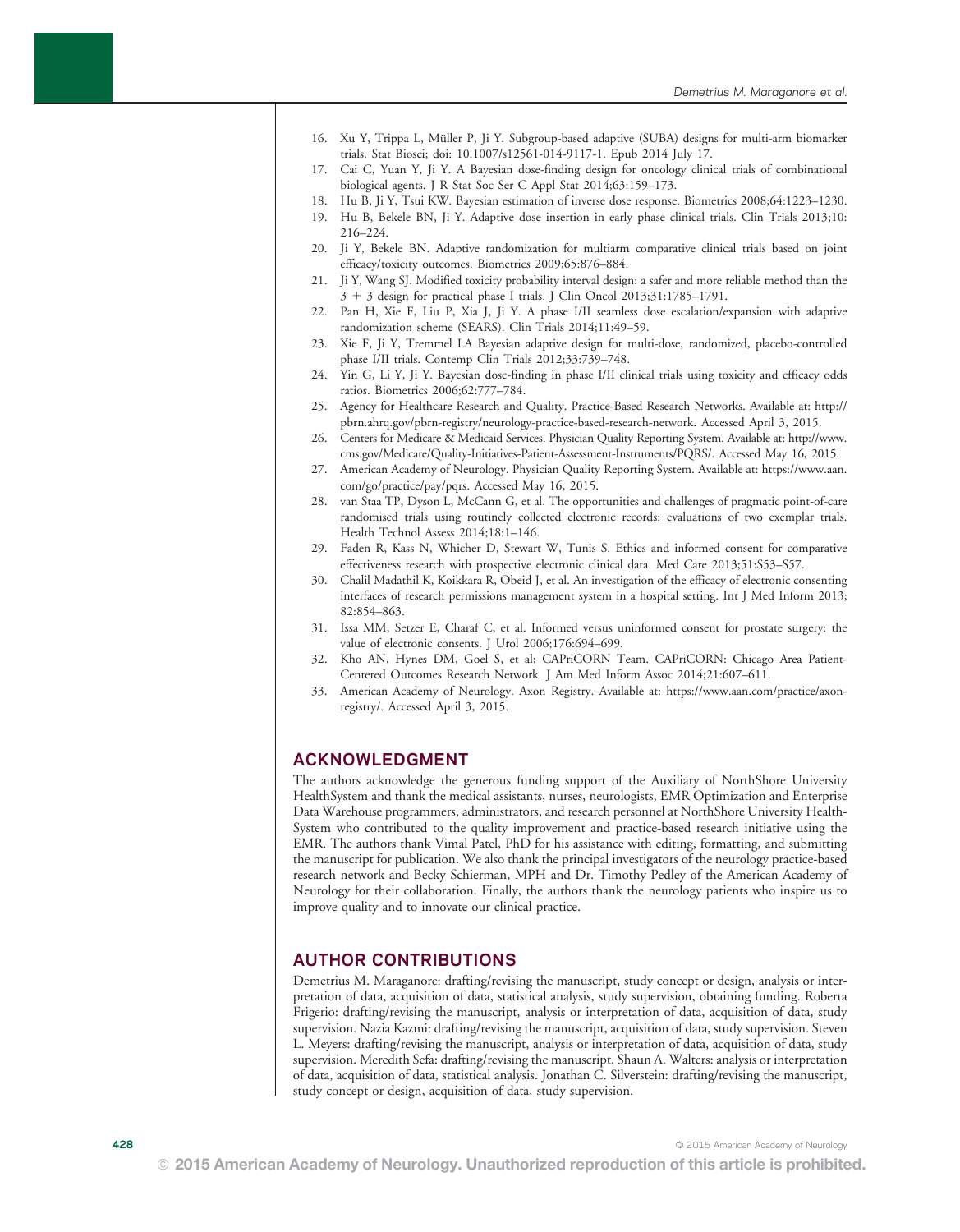|     | 16. Xu Y, Trippa L, Müller P, Ji Y. Subgroup-based adaptive (SUBA) designs for multi-arm biomarker          |
|-----|-------------------------------------------------------------------------------------------------------------|
|     | trials. Stat Biosci; doi: 10.1007/s12561-014-9117-1. Epub 2014 July 17.                                     |
|     | Cai C, Yuan Y, Ji Y. A Bayesian dose-finding design for oncology clinical trials of combinational           |
| 17. |                                                                                                             |
|     | biological agents. J R Stat Soc Ser C Appl Stat 2014;63:159-173.                                            |
| 18. | Hu B, Ji Y, Tsui KW. Bayesian estimation of inverse dose response. Biometrics 2008;64:1223-1230.            |
| 19. | Hu B, Bekele BN, Ji Y. Adaptive dose insertion in early phase clinical trials. Clin Trials 2013;10:         |
|     | $216 - 224.$                                                                                                |
| 20. | Ji Y, Bekele BN. Adaptive randomization for multiarm comparative clinical trials based on joint             |
|     | efficacy/toxicity outcomes. Biometrics 2009;65:876–884.                                                     |
|     | 21. Ji Y, Wang SJ. Modified toxicity probability interval design: a safer and more reliable method than the |
|     | $3 + 3$ design for practical phase I trials. J Clin Oncol 2013;31:1785-1791.                                |
| 22. | Pan H, Xie F, Liu P, Xia J, Ji Y. A phase I/II seamless dose escalation/expansion with adaptive             |
|     | randomization scheme (SEARS). Clin Trials 2014;11:49–59.                                                    |
| 23. | Xie F, Ji Y, Tremmel LA Bayesian adaptive design for multi-dose, randomized, placebo-controlled             |
|     | phase I/II trials. Contemp Clin Trials 2012;33:739–748.                                                     |
| 24. | Yin G, Li Y, Ji Y. Bayesian dose-finding in phase I/II clinical trials using toxicity and efficacy odds     |
|     | ratios. Biometrics 2006;62:777-784.                                                                         |
| 25. | Agency for Healthcare Research and Quality. Practice-Based Research Networks. Available at: http://         |
|     | pbrn.ahrq.gov/pbrn-registry/neurology-practice-based-research-network. Accessed April 3, 2015.              |
| 26. | Centers for Medicare & Medicaid Services. Physician Quality Reporting System. Available at: http://www.     |

- [cms.gov/Medicare/Quality-Initiatives-Patient-Assessment-Instruments/PQRS/.](http://www.cms.gov/Medicare/Quality-Initiatives-Patient-Assessment-Instruments/PQRS/) Accessed May 16, 2015.
- 27. American Academy of Neurology. Physician Quality Reporting System. Available at: [https://www.aan.](https://www.aan.com/go/practice/pay/pqrs) [com/go/practice/pay/pqrs.](https://www.aan.com/go/practice/pay/pqrs) Accessed May 16, 2015.
- 28. van Staa TP, Dyson L, McCann G, et al. The opportunities and challenges of pragmatic point-of-care randomised trials using routinely collected electronic records: evaluations of two exemplar trials. Health Technol Assess 2014;18:1–146.
- 29. Faden R, Kass N, Whicher D, Stewart W, Tunis S. Ethics and informed consent for comparative effectiveness research with prospective electronic clinical data. Med Care 2013;51:S53–S57.
- 30. Chalil Madathil K, Koikkara R, Obeid J, et al. An investigation of the efficacy of electronic consenting interfaces of research permissions management system in a hospital setting. Int J Med Inform 2013; 82:854–863.
- 31. Issa MM, Setzer E, Charaf C, et al. Informed versus uninformed consent for prostate surgery: the value of electronic consents. J Urol 2006;176:694–699.
- 32. Kho AN, Hynes DM, Goel S, et al; CAPriCORN Team. CAPriCORN: Chicago Area Patient-Centered Outcomes Research Network. J Am Med Inform Assoc 2014;21:607–611.
- 33. American Academy of Neurology. Axon Registry. Available at: [https://www.aan.com/practice/axon](https://www.aan.com/practice/axon-registry/)[registry/](https://www.aan.com/practice/axon-registry/). Accessed April 3, 2015.

#### ACKNOWLEDGMENT

The authors acknowledge the generous funding support of the Auxiliary of NorthShore University HealthSystem and thank the medical assistants, nurses, neurologists, EMR Optimization and Enterprise Data Warehouse programmers, administrators, and research personnel at NorthShore University Health-System who contributed to the quality improvement and practice-based research initiative using the EMR. The authors thank Vimal Patel, PhD for his assistance with editing, formatting, and submitting the manuscript for publication. We also thank the principal investigators of the neurology practice-based research network and Becky Schierman, MPH and Dr. Timothy Pedley of the American Academy of Neurology for their collaboration. Finally, the authors thank the neurology patients who inspire us to improve quality and to innovate our clinical practice.

#### AUTHOR CONTRIBUTIONS

Demetrius M. Maraganore: drafting/revising the manuscript, study concept or design, analysis or interpretation of data, acquisition of data, statistical analysis, study supervision, obtaining funding. Roberta Frigerio: drafting/revising the manuscript, analysis or interpretation of data, acquisition of data, study supervision. Nazia Kazmi: drafting/revising the manuscript, acquisition of data, study supervision. Steven L. Meyers: drafting/revising the manuscript, analysis or interpretation of data, acquisition of data, study supervision. Meredith Sefa: drafting/revising the manuscript. Shaun A. Walters: analysis or interpretation of data, acquisition of data, statistical analysis. Jonathan C. Silverstein: drafting/revising the manuscript, study concept or design, acquisition of data, study supervision.